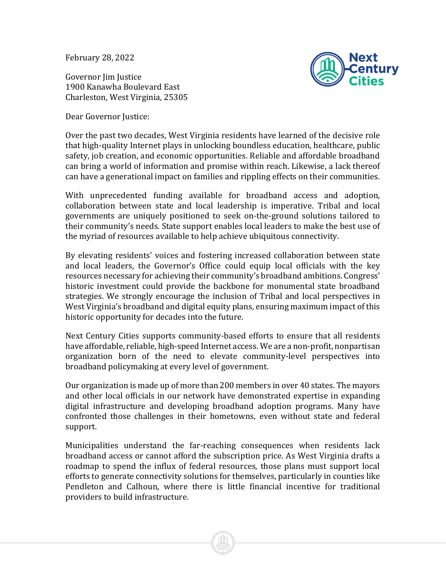February 28, 2022

Governor Iim Iustice 1900 Kanawha Boulevard East Charleston, West Virginia, 25305

Dear Governor Justice:



Over the past two decades, West Virginia residents have learned of the decisive role that high-quality Internet plays in unlocking boundless education, healthcare, public safety, job creation, and economic opportunities. Reliable and affordable broadband can bring a world of information and promise within reach. Likewise, a lack thereof can have a generational impact on families and rippling effects on their communities.

With unprecedented funding available for broadband access and adoption, collaboration between state and local leadership is imperative. Tribal and local governments are uniquely positioned to seek on-the-ground solutions tailored to their community's needs. State support enables local leaders to make the best use of the myriad of resources available to help achieve ubiquitous connectivity.

By elevating residents' voices and fostering increased collaboration between state and local leaders, the Governor's Office could equip local officials with the key resources necessary for achieving their community's broadband ambitions. Congress' historic investment could provide the backbone for monumental state broadband strategies. We strongly encourage the inclusion of Tribal and local perspectives in West Virginia's broadband and digital equity plans, ensuring maximum impact of this historic opportunity for decades into the future.

Next Century Cities supports community-based efforts to ensure that all residents have affordable, reliable, high-speed Internet access. We are a non-profit, nonpartisan organization born of the need to elevate community-level perspectives into broadband policymaking at every level of government.

Our organization is made up of more than 200 members in over 40 states. The mayors and other local officials in our network have demonstrated expertise in expanding digital infrastructure and developing broadband adoption programs. Many have confronted those challenges in their hometowns, even without state and federal support.

Municipalities understand the far-reaching consequences when residents lack broadband access or cannot afford the subscription price. As West Virginia drafts a roadmap to spend the influx of federal resources, those plans must support local efforts to generate connectivity solutions for themselves, particularly in counties like Pendleton and Calhoun, where there is little financial incentive for traditional providers to build infrastructure.